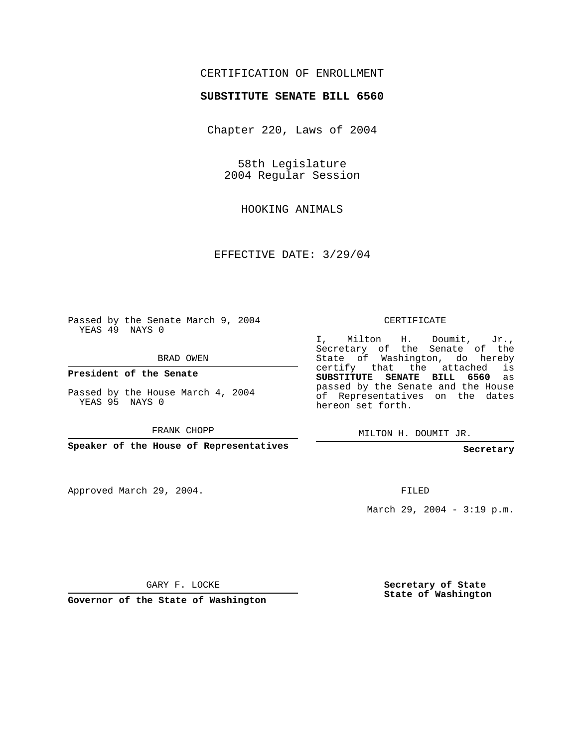## CERTIFICATION OF ENROLLMENT

## **SUBSTITUTE SENATE BILL 6560**

Chapter 220, Laws of 2004

58th Legislature 2004 Regular Session

HOOKING ANIMALS

EFFECTIVE DATE: 3/29/04

Passed by the Senate March 9, 2004 YEAS 49 NAYS 0

BRAD OWEN

**President of the Senate**

Passed by the House March 4, 2004 YEAS 95 NAYS 0

FRANK CHOPP

**Speaker of the House of Representatives**

Approved March 29, 2004.

CERTIFICATE

I, Milton H. Doumit, Jr., Secretary of the Senate of the State of Washington, do hereby certify that the attached is **SUBSTITUTE SENATE BILL 6560** as passed by the Senate and the House of Representatives on the dates hereon set forth.

MILTON H. DOUMIT JR.

**Secretary**

FILED

March 29, 2004 - 3:19 p.m.

GARY F. LOCKE

**Governor of the State of Washington**

**Secretary of State State of Washington**